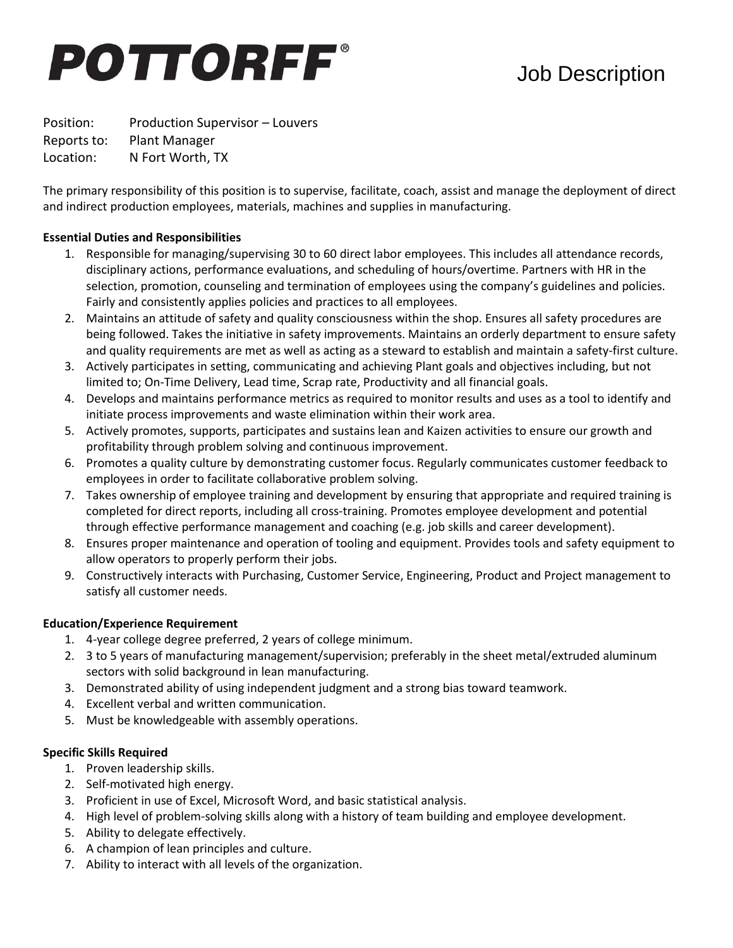# **POTTORFF®**

# Job Description

Position: Production Supervisor – Louvers Reports to: Plant Manager Location: N Fort Worth, TX

The primary responsibility of this position is to supervise, facilitate, coach, assist and manage the deployment of direct and indirect production employees, materials, machines and supplies in manufacturing.

# **Essential Duties and Responsibilities**

- 1. Responsible for managing/supervising 30 to 60 direct labor employees. This includes all attendance records, disciplinary actions, performance evaluations, and scheduling of hours/overtime. Partners with HR in the selection, promotion, counseling and termination of employees using the company's guidelines and policies. Fairly and consistently applies policies and practices to all employees.
- 2. Maintains an attitude of safety and quality consciousness within the shop. Ensures all safety procedures are being followed. Takes the initiative in safety improvements. Maintains an orderly department to ensure safety and quality requirements are met as well as acting as a steward to establish and maintain a safety-first culture.
- 3. Actively participates in setting, communicating and achieving Plant goals and objectives including, but not limited to; On-Time Delivery, Lead time, Scrap rate, Productivity and all financial goals.
- 4. Develops and maintains performance metrics as required to monitor results and uses as a tool to identify and initiate process improvements and waste elimination within their work area.
- 5. Actively promotes, supports, participates and sustains lean and Kaizen activities to ensure our growth and profitability through problem solving and continuous improvement.
- 6. Promotes a quality culture by demonstrating customer focus. Regularly communicates customer feedback to employees in order to facilitate collaborative problem solving.
- 7. Takes ownership of employee training and development by ensuring that appropriate and required training is completed for direct reports, including all cross-training. Promotes employee development and potential through effective performance management and coaching (e.g. job skills and career development).
- 8. Ensures proper maintenance and operation of tooling and equipment. Provides tools and safety equipment to allow operators to properly perform their jobs.
- 9. Constructively interacts with Purchasing, Customer Service, Engineering, Product and Project management to satisfy all customer needs.

# **Education/Experience Requirement**

- 1. 4-year college degree preferred, 2 years of college minimum.
- 2. 3 to 5 years of manufacturing management/supervision; preferably in the sheet metal/extruded aluminum sectors with solid background in lean manufacturing.
- 3. Demonstrated ability of using independent judgment and a strong bias toward teamwork.
- 4. Excellent verbal and written communication.
- 5. Must be knowledgeable with assembly operations.

### **Specific Skills Required**

- 1. Proven leadership skills.
- 2. Self-motivated high energy.
- 3. Proficient in use of Excel, Microsoft Word, and basic statistical analysis.
- 4. High level of problem-solving skills along with a history of team building and employee development.
- 5. Ability to delegate effectively.
- 6. A champion of lean principles and culture.
- 7. Ability to interact with all levels of the organization.